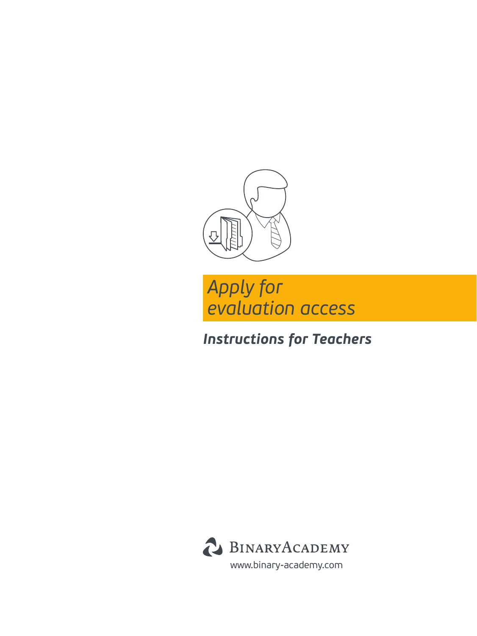



## *Instructions for Teachers*

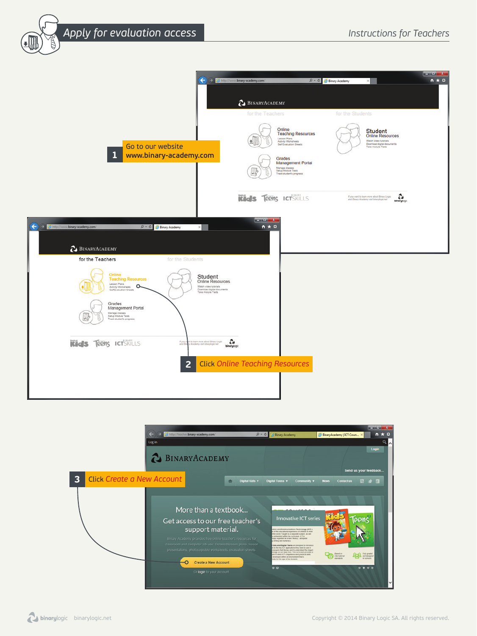*Apply for evaluation access Instructions for Teachers*